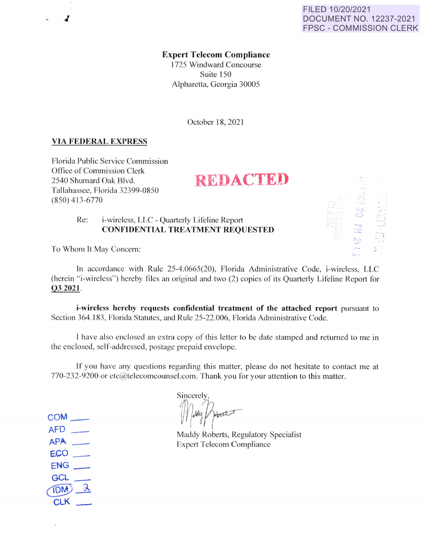**Expert Telecom Compliance** 

1725 Windward Concourse Suite 150 Alpharetta, Georgia 30005

October 18, 202 1

## **VIA FEDERAL EXPRESS**

./

Florida Public Service Commission Office of Commission Clerk 2540 Shumard Oak Blvd. **REDACTED** Tallahassee, Florida 32399-0850 (850) 4 13-6770

## Re: i-wircless, LLC - Quarterly Lifeline Report **CONFIDENTIAL TREATMENT REQUESTED**

To Whom It May Concern:

In accordance with Rule 25-4.0665(20), Florida Administrative Code, i-wireless, LLC (herein "i-wireless") hereby files an original and two (2) copies of its Quarterly Lifeline Report for **03 2021.** 

**i-wireless hereby requests confidential treatment of the attached report** pursuant to Section 364.183, Florida Statutes, and Rule 25-22.006, Florida Administrative Code.

I have also enclosed an extra copy of this letter to be date stamped and returned to me in the enclosed, self-addressed, postage prepaid envelope.

If you have any questions regarding this matter, please do not hesitate to contact me at 770-232-9200 or ctc@telecomcounsel.com. Thank you for your attention to this matter.

**Sincerely** Mady Proces

Maddy Roberts, Regulatory Specialist Expert Telecom Compliance

 $AFD$   $\qquad$ **APP..** -  $ECO$ ENG\_ GCL \_  $1DM$  $\lambda$ CLK \_

**COM\_**